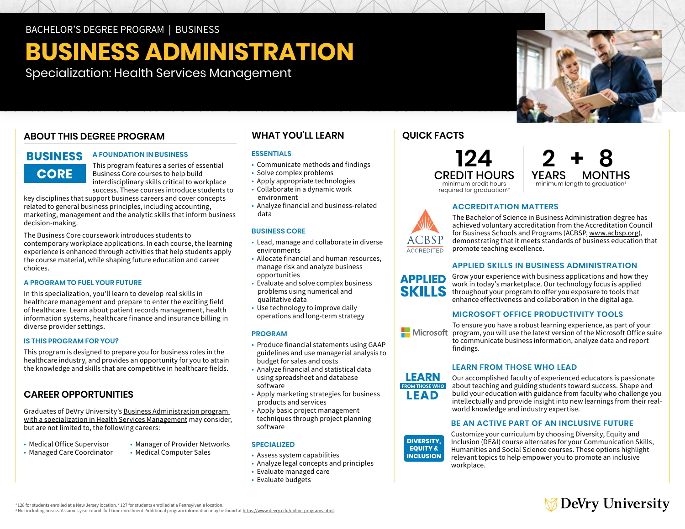# **BUSINESS ADMINISTRATION**

Specialization: Health Services Management

# **ABOUT THIS DEGREE PROGRAM**

# **BUSINESS CORE**

### **A FOUNDATION IN BUSINESS**

This program features a series of essential Business Core courses to help build interdisciplinary skills critical to workplace success. These courses introduce students to

key disciplines that support business careers and cover concepts related to general business principles, including accounting, marketing, management and the analytic skills that inform business decision-making.

 choices. The Business Core coursework introduces students to contemporary workplace applications. In each course, the learning experience is enhanced through activities that help students apply the course material, while shaping future education and career

### **A PROGRAM TO FUEL YOUR FUTURE**

In this specialization, you'll learn to develop real skills in healthcare management and prepare to enter the exciting field of healthcare. Learn about patient records management, health information systems, healthcare finance and insurance billing in diverse provider settings.

### **IS THIS PROGRAM FOR YOU?**

This program is designed to prepare you for business roles in the healthcare industry, and provides an opportunity for you to attain the knowledge and skills that are competitive in healthcare fields.

# **CAREER OPPORTUNITIES**

Graduates of DeVry University's [Business Administration program](https://www.devry.edu/online-programs/bachelors-degrees/business/health-services-management-specialization.html)  [with a specialization in Health Services Management](https://www.devry.edu/online-programs/bachelors-degrees/business/health-services-management-specialization.html) may consider, but are not limited to, the following careers:

- 
- Medical Office Supervisor Manager of Provider Networks<br>• Managed Care Coordinator Medical Computer Sales
- Managed Care Coordinator
- 

**BUSINESS CORE** 

• Solve complex problems • Apply appropriate technologies • Collaborate in a dynamic work

**WHAT YOU'LL LEARN** 

• Communicate methods and findings

• Analyze financial and business-related

**ESSENTIALS** 

environment

data

- • Lead, manage and collaborate in diverse environments
- • Allocate financial and human resources, opportunities manage risk and analyze business
- Evaluate and solve complex business problems using numerical and qualitative data
- • Use technology to improve daily operations and long-term strategy

### **PROGRAM**

- • Produce financial statements using GAAP guidelines and use managerial analysis to budget for sales and costs
- • Analyze financial and statistical data using spreadsheet and database software
- Apply marketing strategies for business products and services
- • Apply basic project management techniques through project planning software

### **SPECIALIZED**

- Assess system capabilities
- Analyze legal concepts and principles
- Evaluate managed care
- Evaluate budgets

# **QUICK FACTS**





### **ACCREDITATION MATTERS**



The Bachelor of Science in Business Administration degree has achieved voluntary accreditation from the Accreditation Council for Business Schools and Programs (ACBSP, [www.acbsp.org](http://www.acbsp.org)), demonstrating that it meets standards of business education that promote teaching excellence.

### **APPLIED SKILLS IN BUSINESS ADMINISTRATION**



### **MICROSOFT OFFICE PRODUCTIVITY TOOLS**

**Nicrosoft** 

**LEARN FROM THOSE WHO LEAD** 

To ensure you have a robust learning experience, as part of your program, you will use the latest version of the Microsoft Office suite to communicate business information, analyze data and report findings.

## **LEARN FROM THOSE WHO LEAD**

Our accomplished faculty of experienced educators is passionate about teaching and guiding students toward success. Shape and build your education with guidance from faculty who challenge you intellectually and provide insight into new learnings from their realworld knowledge and industry expertise.

### **BE AN ACTIVE PART OF AN INCLUSIVE FUTURE**

**DIVERSITY. EQUITY & INCLUSION** 

Customize your curriculum by choosing Diversity, Equity and Inclusion (DE&I) course alternates for your Communication Skills, Humanities and Social Science courses. These options highlight relevant topics to help empower you to promote an inclusive workplace.



 $1128$  for students enrolled at a New Jersey location.  $2127$  for students enrolled at a Pennsylvania location. '128 for students enrolled at a New Jersey location. <sup>2</sup> 127 for students enrolled at a Pennsylvania location.<br>ª Not including breaks. Assumes year-round, full-time enrollment. Additional program information may be found